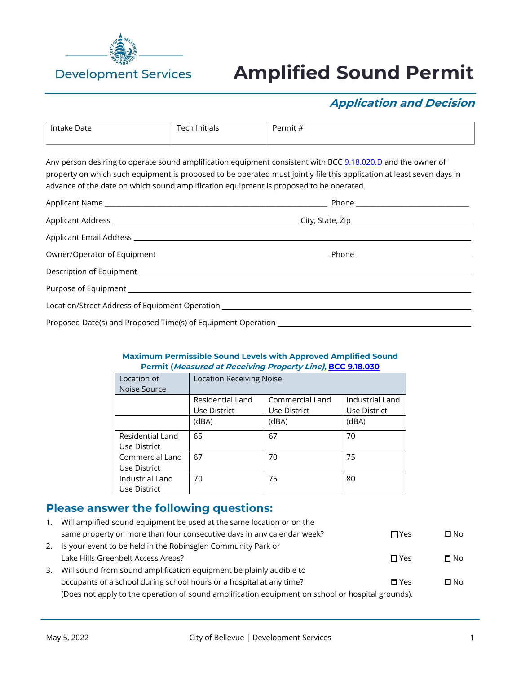

# **Amplified Sound Permit**

## **Application and Decision**

| Intake Date | Initials | -<br>$\cdots$<br># rmit∙ <sup>r</sup> י |
|-------------|----------|-----------------------------------------|
|             |          |                                         |
|             |          |                                         |

Any person desiring to operate sound amplification equipment consistent with BCC [9.18.020.D](https://bellevue.municipal.codes/BCC/9.18.020) and the owner of property on which such equipment is proposed to be operated must jointly file this application at least seven days in advance of the date on which sound amplification equipment is proposed to be operated.

| Location/Street Address of Equipment Operation _________________________________ |  |  |
|----------------------------------------------------------------------------------|--|--|
|                                                                                  |  |  |

#### **Maximum Permissible Sound Levels with Approved Amplified Sound Permit (Measured at Receiving Property Line), [BCC 9.18.030](https://bellevue.municipal.codes/BCC/9.18.030)**

| Location of      | <b>Location Receiving Noise</b> |                 |                 |
|------------------|---------------------------------|-----------------|-----------------|
| Noise Source     |                                 |                 |                 |
|                  | Residential Land                | Commercial Land | Industrial Land |
|                  | Use District                    | Use District    | Use District    |
|                  | (dBA)                           | (dBA)           | (dBA)           |
| Residential Land | 65                              | 67              | 70              |
| Use District     |                                 |                 |                 |
| Commercial Land  | 67                              | 70              | 75              |
| Use District     |                                 |                 |                 |
| Industrial Land  | 70                              | 75              | 80              |
| Use District     |                                 |                 |                 |

### **Please answer the following questions:**

| 1. | Will amplified sound equipment be used at the same location or on the                             |               |              |  |
|----|---------------------------------------------------------------------------------------------------|---------------|--------------|--|
|    | same property on more than four consecutive days in any calendar week?                            | $\Box$ Yes    | $\square$ No |  |
| 2. | Is your event to be held in the Robinsglen Community Park or                                      |               |              |  |
|    | Lake Hills Greenbelt Access Areas?                                                                | $\Box$ Yes    | $\Box$ No    |  |
| 3. | Will sound from sound amplification equipment be plainly audible to                               |               |              |  |
|    | occupants of a school during school hours or a hospital at any time?                              | $\square$ Yes | $\square$ No |  |
|    | (Does not apply to the operation of sound amplification equipment on school or hospital grounds). |               |              |  |